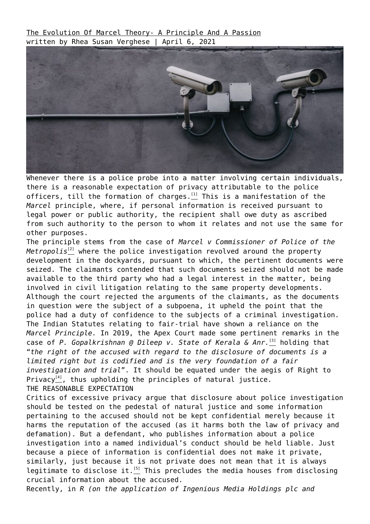[The Evolution Of Marcel Theory- A Principle And A Passion](https://ksandk.com/media-law/the-evolution-of-marcel-principle/) written by Rhea Susan Verghese | April 6, 2021



Whenever there is a police probe into a matter involving certain individuals, there is a reasonable expectation of privacy attributable to the police officers, till the formation of charges. $\frac{11}{2}$  This is a manifestation of the *Marcel* principle, where, if personal information is received pursuant to legal power or public authority, the recipient shall owe duty as ascribed from such authority to the person to whom it relates and not use the same for other purposes.

The principle stems from the case of *Marcel v Commissioner of Police of the Metropolis*<sup>[\[2\]](#page--1-0)</sup> where the police investigation revolved around the property development in the dockyards, pursuant to which, the pertinent documents were seized. The claimants contended that such documents seized should not be made available to the third party who had a legal interest in the matter, being involved in civil litigation relating to the same property developments. Although the court rejected the arguments of the claimants, as the documents in question were the subject of a subpoena, it upheld the point that the police had a duty of confidence to the subjects of a criminal investigation. The Indian Statutes relating to fair-trial have shown a reliance on the *Marcel Principle.* In 2019, the Apex Court made some pertinent remarks in the case of *P. Gopalkrishnan @ Dileep v. State of Kerala & Anr.*<sup>[\[3\]](#page--1-0)</sup> holding that "*the right of the accused with regard to the disclosure of documents is a limited right but is codified and is the very foundation of a fair investigation and trial*". It should be equated under the aegis of Right to Privacy<sup>[\[4\]](#page--1-0)</sup>, thus upholding the principles of natural justice. THE REASONABLE EXPECTATION

Critics of excessive privacy argue that disclosure about police investigation should be tested on the pedestal of natural justice and some information pertaining to the accused should not be kept confidential merely because it harms the reputation of the accused (as it harms both the law of privacy and defamation). But a defendant, who publishes information about a police investigation into a named individual's conduct should be held liable. Just because a piece of information is confidential does not make it private, similarly, just because it is not private does not mean that it is always legitimate to disclose it. $\frac{51}{2}$  This precludes the media houses from disclosing crucial information about the accused.

Recently, in *R (on the application of Ingenious Media Holdings plc and*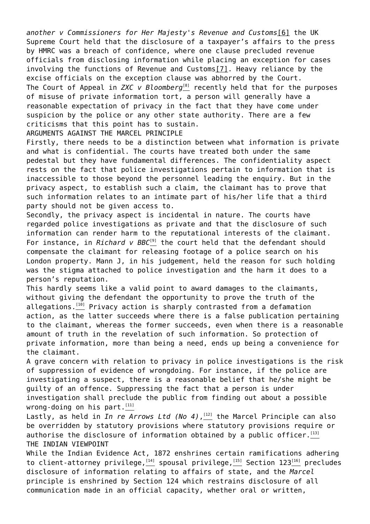*another v Commissioners for Her Majesty's Revenue and Customs*[\[6\]](#page--1-0) the UK Supreme Court held that the disclosure of a taxpayer's affairs to the press by HMRC was a breach of confidence, where one clause precluded revenue officials from disclosing information while placing an exception for cases involving the functions of Revenue and Custom[s\[7\].](#page--1-0) Heavy reliance by the excise officials on the exception clause was abhorred by the Court. The Court of Appeal in *ZXC v Bloomberg*<sup>[\[8\]](#page--1-0)</sup> recently held that for the purposes of misuse of private information tort, a person will generally have a reasonable expectation of privacy in the fact that they have come under suspicion by the police or any other state authority. There are a few criticisms that this point has to sustain.

ARGUMENTS AGAINST THE MARCEL PRINCIPLE

Firstly, there needs to be a distinction between what information is private and what is confidential. The courts have treated both under the same pedestal but they have fundamental differences. The confidentiality aspect rests on the fact that police investigations pertain to information that is inaccessible to those beyond the personnel leading the enquiry. But in the privacy aspect, to establish such a claim, the claimant has to prove that such information relates to an intimate part of his/her life that a third party should not be given access to.

Secondly, the privacy aspect is incidental in nature. The courts have regarded police investigations as private and that the disclosure of such information can render harm to the reputational interests of the claimant. For instance, in *Richard v BBC<sup>[\[9\]](#page--1-0)</sup>* the court held that the defendant should compensate the claimant for releasing footage of a police search on his London property. Mann J, in his judgement, held the reason for such holding was the stigma attached to police investigation and the harm it does to a person's reputation.

This hardly seems like a valid point to award damages to the claimants, without giving the defendant the opportunity to prove the truth of the allegations. $[10]$  Privacy action is sharply contrasted from a defamation action, as the latter succeeds where there is a false publication pertaining to the claimant, whereas the former succeeds, even when there is a reasonable amount of truth in the revelation of such information. So protection of private information, more than being a need, ends up being a convenience for the claimant.

A grave concern with relation to privacy in police investigations is the risk of suppression of evidence of wrongdoing. For instance, if the police are investigating a suspect, there is a reasonable belief that he/she might be guilty of an offence. Suppressing the fact that a person is under investigation shall preclude the public from finding out about a possible wrong-doing on his part. $[11]$ 

Lastly, as held in *In re Arrows Ltd (No 4)*, [\[12\]](#page--1-0) the Marcel Principle can also be overridden by statutory provisions where statutory provisions require or authorise the disclosure of information obtained by a public officer.  $\frac{[13]}{4}$  $\frac{[13]}{4}$  $\frac{[13]}{4}$ THE INDIAN VIEWPOINT

While the Indian Evidence Act, 1872 enshrines certain ramifications adhering to client-attorney privilege,  $[14]$  spousal privilege,  $[15]$  Section 123 $[16]$  precludes disclosure of information relating to affairs of state, and the *Marcel* principle is enshrined by Section 124 which restrains disclosure of all communication made in an official capacity, whether oral or written,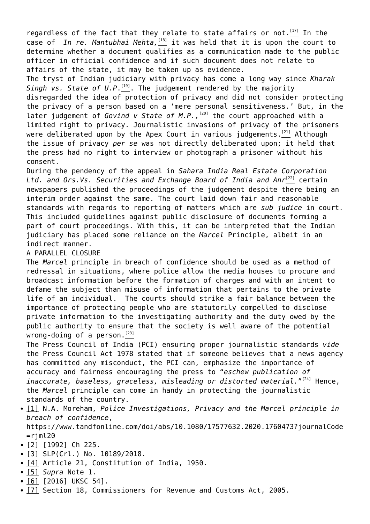regardless of the fact that they relate to state affairs or not.<sup>[\[17\]](#page--1-0)</sup> In the case of *In re. Mantubhai Mehta*,  $\frac{181}{18}$  it was held that it is upon the court to determine whether a document qualifies as a communication made to the public officer in official confidence and if such document does not relate to affairs of the state, it may be taken up as evidence.

The tryst of Indian judiciary with privacy has come a long way since *Kharak Singh vs. State of U.P*. [\[19\]](#page--1-0). The judgement rendered by the majority disregarded the idea of protection of privacy and did not consider protecting the privacy of a person based on a 'mere personal sensitiveness.' But, in the later judgement of *Govind v State of M.P.*, <sup>[\[20\]](#page--1-0)</sup> the court approached with a limited right to privacy. Journalistic invasions of privacy of the prisoners were deliberated upon by the Apex Court in various judgements.<sup>[\[21\]](#page--1-0)</sup> Although the issue of privacy *per se* was not directly deliberated upon; it held that the press had no right to interview or photograph a prisoner without his consent.

During the pendency of the appeal in *Sahara India Real Estate Corporation* Ltd. and Ors.Vs. Securities and Exchange Board of India and Anr<sup>[\[22\]](#page--1-0)</sup> certain newspapers published the proceedings of the judgement despite there being an interim order against the same. The court laid down fair and reasonable standards with regards to reporting of matters which are *sub judice* in court. This included guidelines against public disclosure of documents forming a part of court proceedings. With this, it can be interpreted that the Indian judiciary has placed some reliance on the *Marcel* Principle, albeit in an indirect manner.

## A PARALLEL CLOSURE

The *Marcel* principle in breach of confidence should be used as a method of redressal in situations, where police allow the media houses to procure and broadcast information before the formation of charges and with an intent to defame the subject than misuse of information that pertains to the private life of an individual. The courts should strike a fair balance between the importance of protecting people who are statutorily compelled to disclose private information to the investigating authority and the duty owed by the public authority to ensure that the society is well aware of the potential wrong-doing of a person.  $[23]$ 

The Press Council of India (PCI) ensuring proper journalistic standards *vide* the Press Council Act 1978 stated that if someone believes that a news agency has committed any misconduct, the PCI can, emphasize the importance of accuracy and fairness encouraging the press to "*eschew publication of* inaccurate, baseless, graceless, misleading or distorted material." $\overset{_{1241}}{\rule{0ex}{0ex}\smash{1}}$  Hence, the *Marcel* principle can come in handy in protecting the journalistic standards of the country.

[\[1\]](#page--1-0) N.A. Moreham, *Police Investigations, Privacy and the Marcel principle in breach of confidence*, https://www.tandfonline.com/doi/abs/10.1080/17577632.2020.1760473?journalCode

 $=$ riml20

- [\[2\]](#page--1-0) [1992] Ch 225.
- [\[3\]](#page--1-0) SLP(Crl.) No. 10189/2018.
- [\[4\]](#page--1-0) Article 21, Constitution of India, 1950.
- [\[5\]](#page--1-0) *Supra* Note 1.
- [\[6\]](#page--1-0) [2016] UKSC 54].
- [\[7\]](#page--1-0) Section 18, Commissioners for Revenue and Customs Act, 2005.